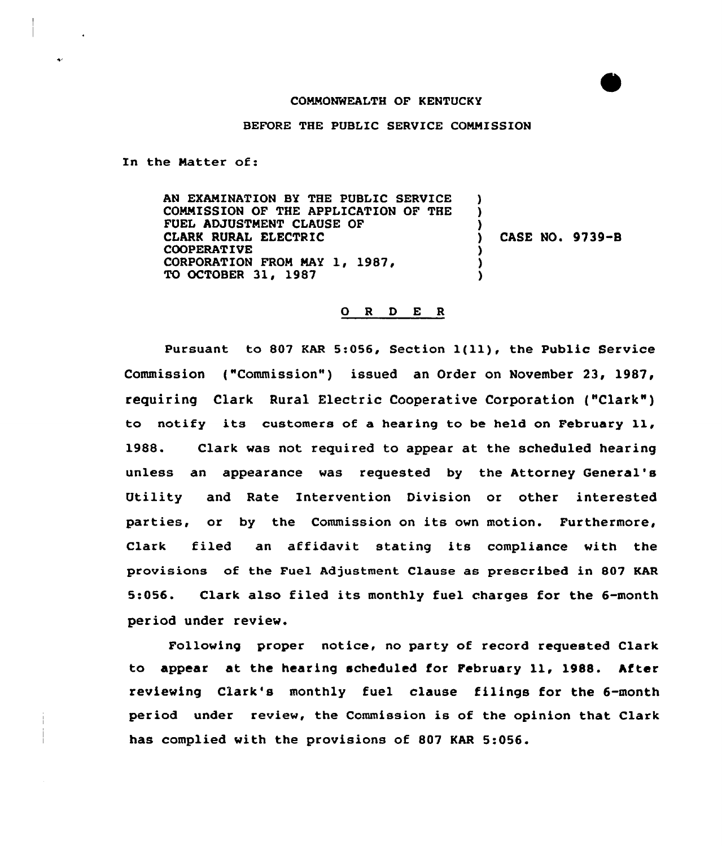## COMMONWEALTH OF KENTUCKY

BEFORE THE PUBLIC SERVICE COMMISSION

In the Natter of:

AN EXAMINATION BY THE PUBLIC SERVICE COMMISSION OF THE APPLICATION OF THE FUEL ADJUSTMENT CLAUSE OF CLARK RURAL ELECTRIC COOPERATIVE CORPORATION FROM MAY 1, 1987, TO OCTOBER 31, 1987 ) ) ) ) CASE NO. 9739-8 ) ) )

## 0 <sup>R</sup> <sup>D</sup> E <sup>R</sup>

Pursuant to <sup>807</sup> KAR 5:056, Section l(ll), the Public Service Commission ("Commission") issued an Order on November 23, 1987, requiring Clark Rural Electric Cooperative Corporation ("Clark" ) to notify its customers of <sup>a</sup> hearing to be held on February ll, 1988. Clark was not required to appear at the scheduled hearing unless an appearance was requested by the Attorney General' Utility and Rate Intervention Division or other interested parties, or by the Commission on its own motion. Furthermore, Clark filed an affidavit stating its compliance with the provisions of the Fuel Adjustment Clause as prescribed in 807 KAR 5:056. Clark also filed its monthly fuel charges for the 6-month period under review.

Following proper notice, no party of record requested Clark to appear at the hearing scheduled for February ll, 1988. After reviewing Clark's monthly fuel clause filings for the 6-month period under review, the Commission is of the opinion that Clark has complied with the provisions of 807 KAR 5:056.